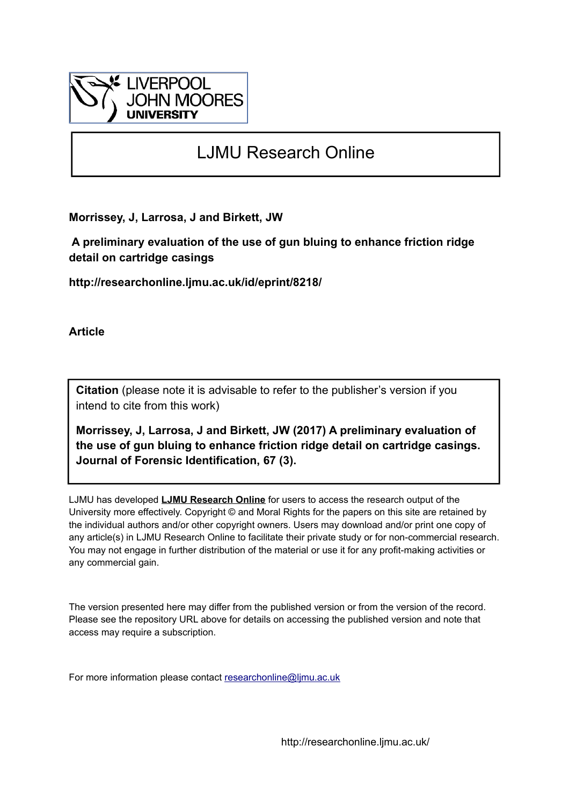

# LJMU Research Online

**Morrissey, J, Larrosa, J and Birkett, JW**

 **A preliminary evaluation of the use of gun bluing to enhance friction ridge detail on cartridge casings**

**http://researchonline.ljmu.ac.uk/id/eprint/8218/**

**Article**

**Citation** (please note it is advisable to refer to the publisher's version if you intend to cite from this work)

**Morrissey, J, Larrosa, J and Birkett, JW (2017) A preliminary evaluation of the use of gun bluing to enhance friction ridge detail on cartridge casings. Journal of Forensic Identification, 67 (3).** 

LJMU has developed **[LJMU Research Online](http://researchonline.ljmu.ac.uk/)** for users to access the research output of the University more effectively. Copyright © and Moral Rights for the papers on this site are retained by the individual authors and/or other copyright owners. Users may download and/or print one copy of any article(s) in LJMU Research Online to facilitate their private study or for non-commercial research. You may not engage in further distribution of the material or use it for any profit-making activities or any commercial gain.

The version presented here may differ from the published version or from the version of the record. Please see the repository URL above for details on accessing the published version and note that access may require a subscription.

For more information please contact [researchonline@ljmu.ac.uk](mailto:researchonline@ljmu.ac.uk)

http://researchonline.ljmu.ac.uk/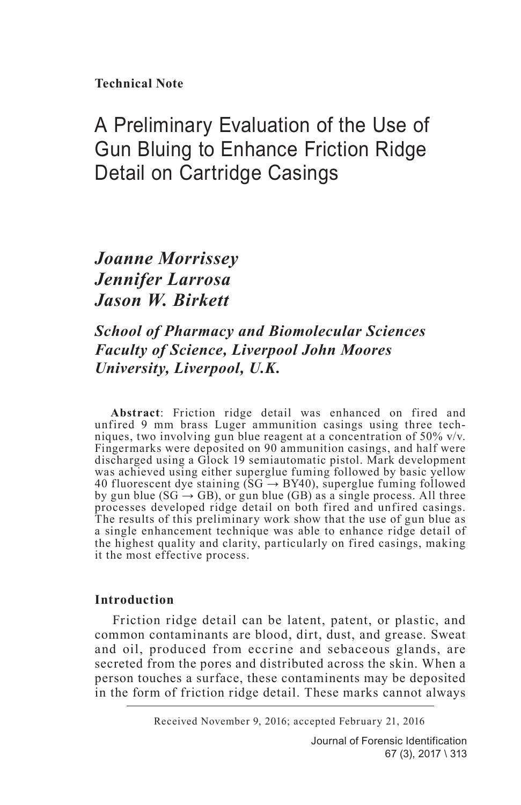**Technical Note**

## A Preliminary Evaluation of the Use of Gun Bluing to Enhance Friction Ridge Detail on Cartridge Casings

## *Joanne Morrissey Jennifer Larrosa Jason W. Birkett*

### *School of Pharmacy and Biomolecular Sciences Faculty of Science, Liverpool John Moores University, Liverpool, U.K.*

**Abstract**: Friction ridge detail was enhanced on fired and unfired 9 mm brass Luger ammunition casings using three techniques, two involving gun blue reagent at a concentration of 50% v/v. Fingermarks were deposited on 90 ammunition casings, and half were discharged using a Glock 19 semiautomatic pistol. Mark development was achieved using either superglue fuming followed by basic yellow 40 fluorescent dye staining ( $SG \rightarrow BY40$ ), superglue fuming followed by gun blue ( $SG \rightarrow GB$ ), or gun blue ( $GB$ ) as a single process. All three processes developed ridge detail on both fired and unfired casings. The results of this preliminary work show that the use of gun blue as a single enhancement technique was able to enhance ridge detail of the highest quality and clarity, particularly on fired casings, making it the most effective process.

#### **Introduction**

Friction ridge detail can be latent, patent, or plastic, and common contaminants are blood, dirt, dust, and grease. Sweat and oil, produced from eccrine and sebaceous glands, are secreted from the pores and distributed across the skin. When a person touches a surface, these contaminents may be deposited in the form of friction ridge detail. These marks cannot always

Received November 9, 2016; accepted February 21, 2016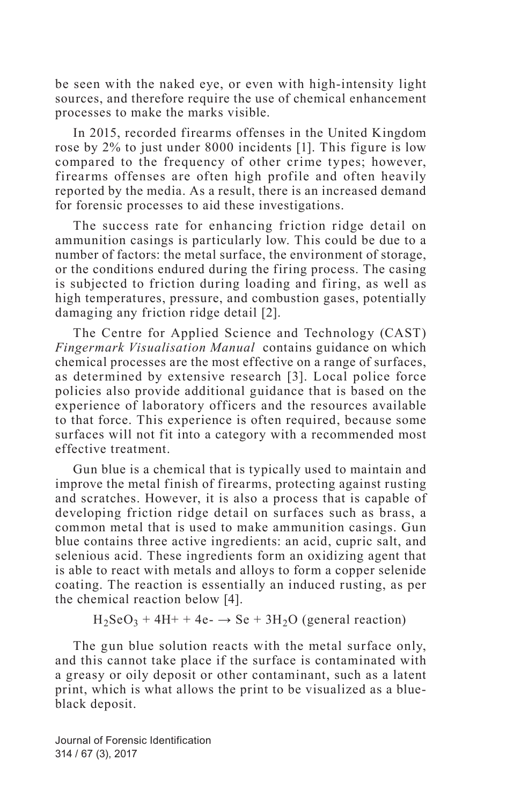be seen with the naked eye, or even with high-intensity light sources, and therefore require the use of chemical enhancement processes to make the marks visible.

In 2015, recorded firearms offenses in the United Kingdom rose by 2% to just under 8000 incidents [1]. This figure is low compared to the frequency of other crime types; however, firearms offenses are often high profile and often heavily reported by the media. As a result, there is an increased demand for forensic processes to aid these investigations.

The success rate for enhancing friction ridge detail on ammunition casings is particularly low. This could be due to a number of factors: the metal surface, the environment of storage, or the conditions endured during the firing process. The casing is subjected to friction during loading and firing, as well as high temperatures, pressure, and combustion gases, potentially damaging any friction ridge detail [2].

The Centre for Applied Science and Technology (CAST) *Fingermark Visualisation Manual* contains guidance on which chemical processes are the most effective on a range of surfaces, as determined by extensive research [3]. Local police force policies also provide additional guidance that is based on the experience of laboratory officers and the resources available to that force. This experience is often required, because some surfaces will not fit into a category with a recommended most effective treatment.

Gun blue is a chemical that is typically used to maintain and improve the metal finish of firearms, protecting against rusting and scratches. However, it is also a process that is capable of developing friction ridge detail on surfaces such as brass, a common metal that is used to make ammunition casings. Gun blue contains three active ingredients: an acid, cupric salt, and selenious acid. These ingredients form an oxidizing agent that is able to react with metals and alloys to form a copper selenide coating. The reaction is essentially an induced rusting, as per the chemical reaction below [4].

 $H_2SeO_3 + 4H_2 + 4e_2 \rightarrow Se + 3H_2O$  (general reaction)

The gun blue solution reacts with the metal surface only, and this cannot take place if the surface is contaminated with a greasy or oily deposit or other contaminant, such as a latent print, which is what allows the print to be visualized as a blueblack deposit.

Journal of Forensic Identification 314 / 67 (3), 2017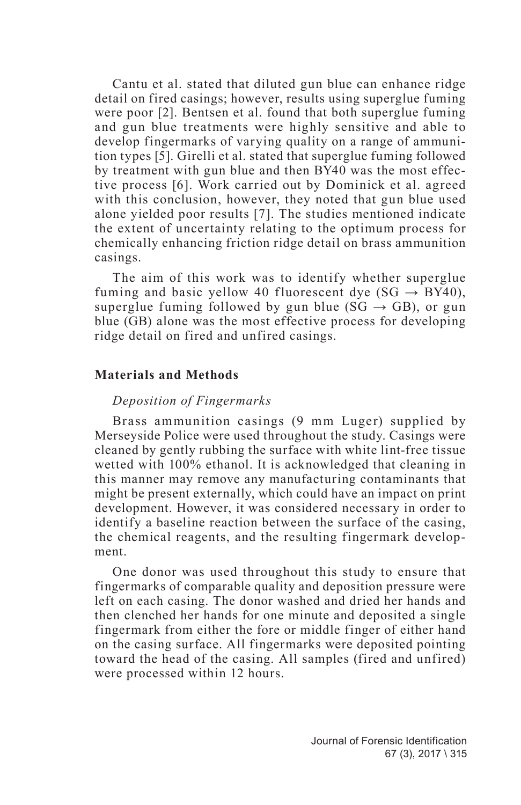Cantu et al. stated that diluted gun blue can enhance ridge detail on fired casings; however, results using superglue fuming were poor [2]. Bentsen et al. found that both superglue fuming and gun blue treatments were highly sensitive and able to develop fingermarks of varying quality on a range of ammunition types [5]. Girelli et al. stated that superglue fuming followed by treatment with gun blue and then BY40 was the most effective process [6]. Work carried out by Dominick et al. agreed with this conclusion, however, they noted that gun blue used alone yielded poor results [7]. The studies mentioned indicate the extent of uncertainty relating to the optimum process for chemically enhancing friction ridge detail on brass ammunition casings.

The aim of this work was to identify whether superglue fuming and basic yellow 40 fluorescent dye (SG  $\rightarrow$  BY40), superglue fuming followed by gun blue ( $SG \rightarrow GB$ ), or gun blue (GB) alone was the most effective process for developing ridge detail on fired and unfired casings.

#### **Materials and Methods**

#### *Deposition of Fingermarks*

Brass ammunition casings (9 mm Luger) supplied by Merseyside Police were used throughout the study. Casings were cleaned by gently rubbing the surface with white lint-free tissue wetted with 100% ethanol. It is acknowledged that cleaning in this manner may remove any manufacturing contaminants that might be present externally, which could have an impact on print development. However, it was considered necessary in order to identify a baseline reaction between the surface of the casing, the chemical reagents, and the resulting fingermark development.

One donor was used throughout this study to ensure that fingermarks of comparable quality and deposition pressure were left on each casing. The donor washed and dried her hands and then clenched her hands for one minute and deposited a single fingermark from either the fore or middle finger of either hand on the casing surface. All fingermarks were deposited pointing toward the head of the casing. All samples (fired and unfired) were processed within 12 hours.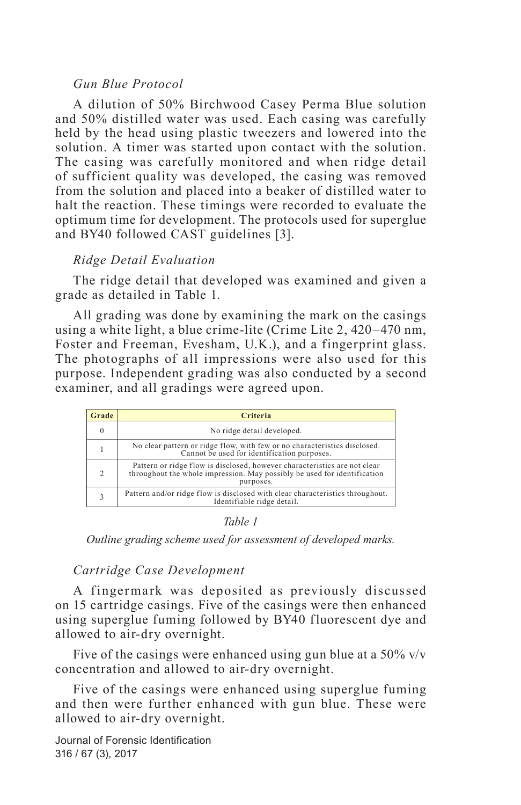#### *Gun Blue Protocol*

A dilution of 50% Birchwood Casey Perma Blue solution and 50% distilled water was used. Each casing was carefully held by the head using plastic tweezers and lowered into the solution. A timer was started upon contact with the solution. The casing was carefully monitored and when ridge detail of sufficient quality was developed, the casing was removed from the solution and placed into a beaker of distilled water to halt the reaction. These timings were recorded to evaluate the optimum time for development. The protocols used for superglue and BY40 followed CAST guidelines [3].

#### *Ridge Detail Evaluation*

The ridge detail that developed was examined and given a grade as detailed in Table 1.

All grading was done by examining the mark on the casings using a white light, a blue crime-lite (Crime Lite 2, 420–470 nm, Foster and Freeman, Evesham, U.K.), and a fingerprint glass. The photographs of all impressions were also used for this purpose. Independent grading was also conducted by a second examiner, and all gradings were agreed upon.

| Grade         | Criteria                                                                                                                                                           |  |  |  |
|---------------|--------------------------------------------------------------------------------------------------------------------------------------------------------------------|--|--|--|
| $\Omega$      | No ridge detail developed.                                                                                                                                         |  |  |  |
|               | No clear pattern or ridge flow, with few or no characteristics disclosed.<br>Cannot be used for identification purposes.                                           |  |  |  |
| $\mathcal{D}$ | Pattern or ridge flow is disclosed, however characteristics are not clear<br>throughout the whole impression. May possibly be used for identification<br>purposes. |  |  |  |
| 3             | Pattern and/or ridge flow is disclosed with clear characteristics throughout.<br>Identifiable ridge detail.                                                        |  |  |  |

*Table 1*

*Outline grading scheme used for assessment of developed marks.*

#### *Cartridge Case Development*

A fingermark was deposited as previously discussed on 15 cartridge casings. Five of the casings were then enhanced using superglue fuming followed by BY40 fluorescent dye and allowed to air-dry overnight.

Five of the casings were enhanced using gun blue at a  $50\%$  v/v concentration and allowed to air-dry overnight.

Five of the casings were enhanced using superglue fuming and then were further enhanced with gun blue. These were allowed to air-dry overnight.

Journal of Forensic Identification 316 / 67 (3), 2017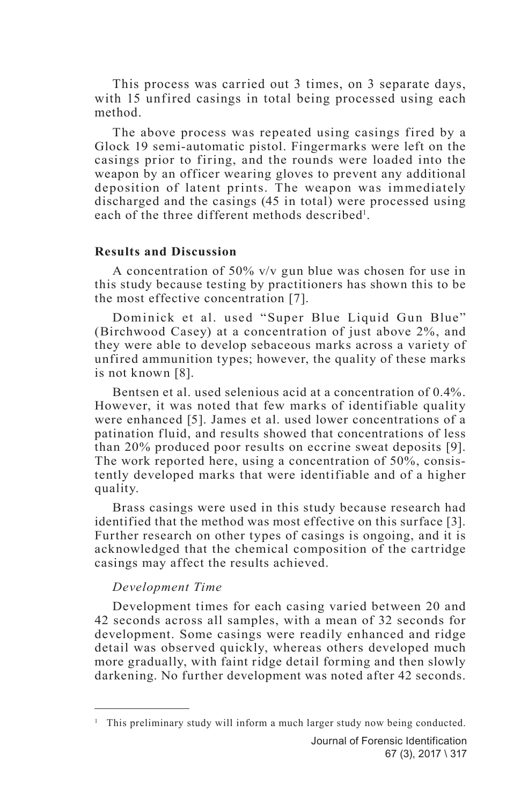This process was carried out 3 times, on 3 separate days, with 15 unfired casings in total being processed using each method.

The above process was repeated using casings fired by a Glock 19 semi-automatic pistol. Fingermarks were left on the casings prior to firing, and the rounds were loaded into the weapon by an officer wearing gloves to prevent any additional deposition of latent prints. The weapon was immediately discharged and the casings (45 in total) were processed using each of the three different methods described<sup>1</sup>.

#### **Results and Discussion**

A concentration of 50% v/v gun blue was chosen for use in this study because testing by practitioners has shown this to be the most effective concentration [7].

Dominick et al. used "Super Blue Liquid Gun Blue" (Birchwood Casey) at a concentration of just above 2%, and they were able to develop sebaceous marks across a variety of unfired ammunition types; however, the quality of these marks is not known [8].

Bentsen et al. used selenious acid at a concentration of 0.4%. However, it was noted that few marks of identifiable quality were enhanced [5]. James et al. used lower concentrations of a patination fluid, and results showed that concentrations of less than 20% produced poor results on eccrine sweat deposits [9]. The work reported here, using a concentration of 50%, consistently developed marks that were identifiable and of a higher quality.

Brass casings were used in this study because research had identified that the method was most effective on this surface [3]. Further research on other types of casings is ongoing, and it is acknowledged that the chemical composition of the cartridge casings may affect the results achieved.

#### *Development Time*

Development times for each casing varied between 20 and 42 seconds across all samples, with a mean of 32 seconds for development. Some casings were readily enhanced and ridge detail was observed quickly, whereas others developed much more gradually, with faint ridge detail forming and then slowly darkening. No further development was noted after 42 seconds.

<sup>&</sup>lt;sup>1</sup> This preliminary study will inform a much larger study now being conducted.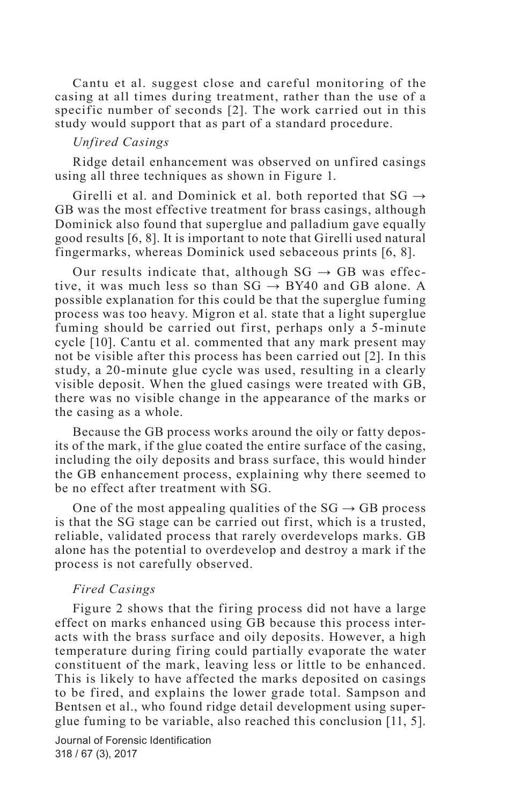Cantu et al. suggest close and careful monitoring of the casing at all times during treatment, rather than the use of a specific number of seconds [2]. The work carried out in this study would support that as part of a standard procedure.

#### *Unfired Casings*

Ridge detail enhancement was observed on unfired casings using all three techniques as shown in Figure 1.

Girelli et al. and Dominick et al. both reported that  $SG \rightarrow$ GB was the most effective treatment for brass casings, although Dominick also found that superglue and palladium gave equally good results [6, 8]. It is important to note that Girelli used natural fingermarks, whereas Dominick used sebaceous prints [6, 8].

Our results indicate that, although  $SG \rightarrow GB$  was effective, it was much less so than  $SG \rightarrow BY40$  and GB alone. A possible explanation for this could be that the superglue fuming process was too heavy. Migron et al. state that a light superglue fuming should be carried out first, perhaps only a 5-minute cycle [10]. Cantu et al. commented that any mark present may not be visible after this process has been carried out [2]. In this study, a 20-minute glue cycle was used, resulting in a clearly visible deposit. When the glued casings were treated with GB, there was no visible change in the appearance of the marks or the casing as a whole.

Because the GB process works around the oily or fatty deposits of the mark, if the glue coated the entire surface of the casing, including the oily deposits and brass surface, this would hinder the GB enhancement process, explaining why there seemed to be no effect after treatment with SG.

One of the most appealing qualities of the  $SG \rightarrow GB$  process is that the SG stage can be carried out first, which is a trusted, reliable, validated process that rarely overdevelops marks. GB alone has the potential to overdevelop and destroy a mark if the process is not carefully observed.

#### *Fired Casings*

Figure 2 shows that the firing process did not have a large effect on marks enhanced using GB because this process interacts with the brass surface and oily deposits. However, a high temperature during firing could partially evaporate the water constituent of the mark, leaving less or little to be enhanced. This is likely to have affected the marks deposited on casings to be fired, and explains the lower grade total. Sampson and Bentsen et al., who found ridge detail development using superglue fuming to be variable, also reached this conclusion [11, 5].

Journal of Forensic Identification 318 / 67 (3), 2017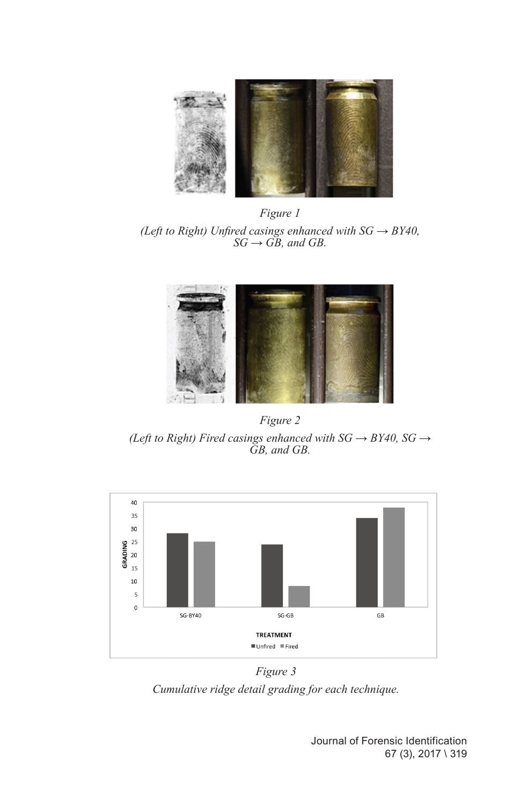

*Figure 1 (Left to Right) Unfired casings enhanced with SG → BY40,*   $SG \rightarrow \overrightarrow{GB}$ , and GB.



*Figure 2*

*(Left to Right) Fired casings enhanced with SG → BY40, SG → GB, and GB.*



*Figure 3*

*Cumulative ridge detail grading for each technique.*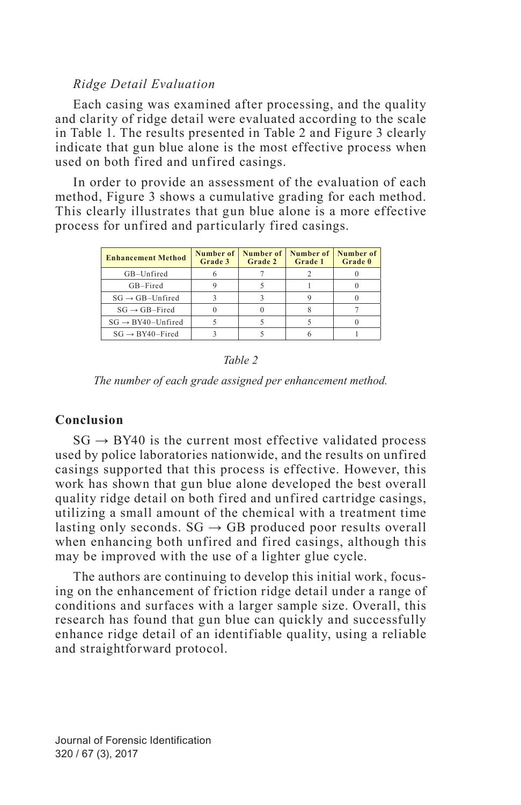#### *Ridge Detail Evaluation*

Each casing was examined after processing, and the quality and clarity of ridge detail were evaluated according to the scale in Table 1. The results presented in Table 2 and Figure 3 clearly indicate that gun blue alone is the most effective process when used on both fired and unfired casings.

In order to provide an assessment of the evaluation of each method, Figure 3 shows a cumulative grading for each method. This clearly illustrates that gun blue alone is a more effective process for unfired and particularly fired casings.

| <b>Enhancement Method</b>     | Number of<br>Grade 3 | Number of<br>Grade 2 | Number of<br>Grade 1 | Number of<br>Grade 0 |
|-------------------------------|----------------------|----------------------|----------------------|----------------------|
| GB-Unfired                    |                      |                      |                      |                      |
| GB-Fired                      |                      |                      |                      |                      |
| $SG \rightarrow GB-Unfried$   |                      |                      |                      |                      |
| $SG \rightarrow GB$ -Fired    |                      |                      |                      |                      |
| $SG \rightarrow BY40-Unfired$ |                      |                      |                      |                      |
| $SG \rightarrow BY40-Fired$   |                      |                      |                      |                      |

*Table 2*

*The number of each grade assigned per enhancement method.*

#### **Conclusion**

 $SG \rightarrow BY40$  is the current most effective validated process used by police laboratories nationwide, and the results on unfired casings supported that this process is effective. However, this work has shown that gun blue alone developed the best overall quality ridge detail on both fired and unfired cartridge casings, utilizing a small amount of the chemical with a treatment time lasting only seconds.  $SG \rightarrow GB$  produced poor results overall when enhancing both unfired and fired casings, although this may be improved with the use of a lighter glue cycle.

The authors are continuing to develop this initial work, focusing on the enhancement of friction ridge detail under a range of conditions and surfaces with a larger sample size. Overall, this research has found that gun blue can quickly and successfully enhance ridge detail of an identifiable quality, using a reliable and straightforward protocol.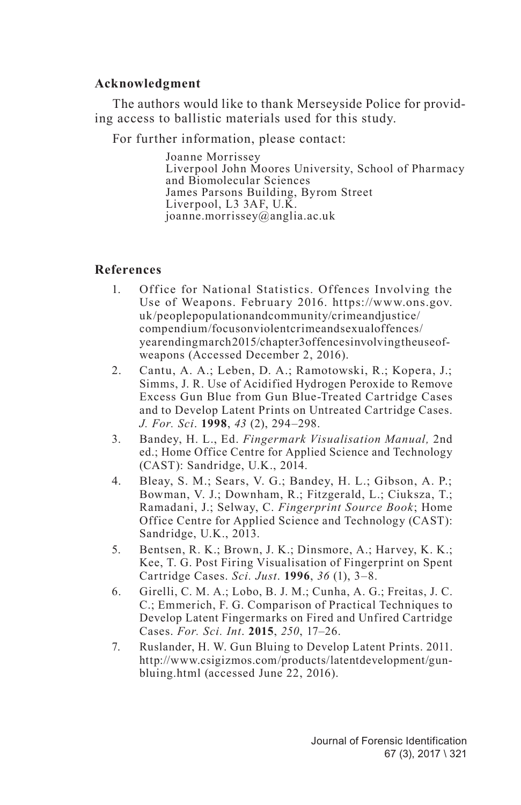#### **Acknowledgment**

The authors would like to thank Merseyside Police for providing access to ballistic materials used for this study.

For further information, please contact:

Joanne Morrissey Liverpool John Moores University, School of Pharmacy and Biomolecular Sciences James Parsons Building, Byrom Street Liverpool, L3 3AF, U.K. joanne.morrissey@anglia.ac.uk

#### **References**

- 1. Office for National Statistics. Offences Involving the Use of Weapons. February 2016. https://www.ons.gov. uk/peoplepopulationandcommunity/crimeandjustice/ compendium/focusonviolentcrimeandsexualoffences/ yearendingmarch2015/chapter3offencesinvolvingtheuseofweapons (Accessed December 2, 2016).
- 2. Cantu, A. A.; Leben, D. A.; Ramotowski, R.; Kopera, J.; Simms, J. R. Use of Acidified Hydrogen Peroxide to Remove Excess Gun Blue from Gun Blue-Treated Cartridge Cases and to Develop Latent Prints on Untreated Cartridge Cases. *J. For. Sci*. **1998**, *43* (2), 294–298.
- 3. Bandey, H. L., Ed. *Fingermark Visualisation Manual,* 2nd ed.; Home Office Centre for Applied Science and Technology (CAST): Sandridge, U.K., 2014.
- 4. Bleay, S. M.; Sears, V. G.; Bandey, H. L.; Gibson, A. P.; Bowman, V. J.; Downham, R.; Fitzgerald, L.; Ciuksza, T.; Ramadani, J.; Selway, C. *Fingerprint Source Book*; Home Office Centre for Applied Science and Technology (CAST): Sandridge, U.K., 2013.
- 5. Bentsen, R. K.; Brown, J. K.; Dinsmore, A.; Harvey, K. K.; Kee, T. G. Post Firing Visualisation of Fingerprint on Spent Cartridge Cases. *Sci. Just*. **1996**, *36* (1), 3–8.
- 6. Girelli, C. M. A.; Lobo, B. J. M.; Cunha, A. G.; Freitas, J. C. C.; Emmerich, F. G. Comparison of Practical Techniques to Develop Latent Fingermarks on Fired and Unfired Cartridge Cases. *For. Sci. Int*. **2015**, *250*, 17–26.
- 7. Ruslander, H. W. Gun Bluing to Develop Latent Prints. 2011. http://www.csigizmos.com/products/latentdevelopment/gunbluing.html (accessed June 22, 2016).